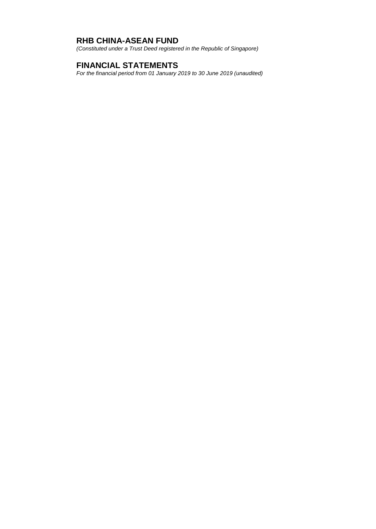*(Constituted under a Trust Deed registered in the Republic of Singapore)*

# **FINANCIAL STATEMENTS**

*For the financial period from 01 January 2019 to 30 June 2019 (unaudited)*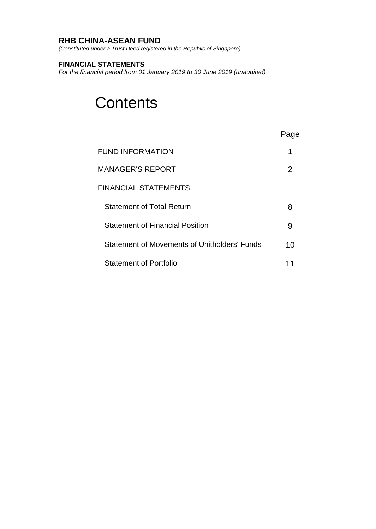*(Constituted under a Trust Deed registered in the Republic of Singapore)*

## **FINANCIAL STATEMENTS**

*For the financial period from 01 January 2019 to 30 June 2019 (unaudited)*

# **Contents**

|                                              | ge |
|----------------------------------------------|----|
| <b>FUND INFORMATION</b>                      | 1  |
| MANAGER'S REPORT                             | 2  |
| FINANCIAL STATEMENTS                         |    |
| <b>Statement of Total Return</b>             | 8  |
| <b>Statement of Financial Position</b>       | 9  |
| Statement of Movements of Unitholders' Funds | 10 |
| <b>Statement of Portfolio</b>                |    |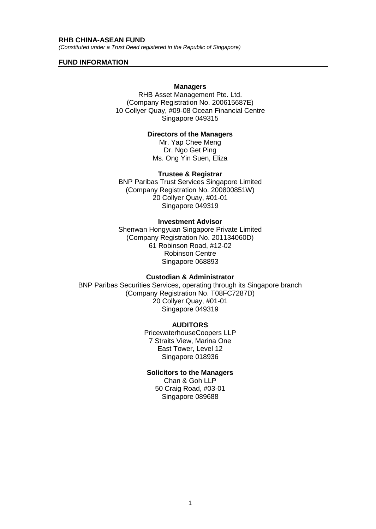*(Constituted under a Trust Deed registered in the Republic of Singapore)*

#### **FUND INFORMATION**

#### **Managers**

RHB Asset Management Pte. Ltd. (Company Registration No. 200615687E) 10 Collyer Quay, #09-08 Ocean Financial Centre Singapore 049315

#### **Directors of the Managers**

Mr. Yap Chee Meng Dr. Ngo Get Ping Ms. Ong Yin Suen, Eliza

#### **Trustee & Registrar**

BNP Paribas Trust Services Singapore Limited (Company Registration No. 200800851W) 20 Collyer Quay, #01-01 Singapore 049319

#### **Investment Advisor**

Shenwan Hongyuan Singapore Private Limited (Company Registration No. 201134060D) 61 Robinson Road, #12-02 Robinson Centre Singapore 068893

#### **Custodian & Administrator**

BNP Paribas Securities Services, operating through its Singapore branch (Company Registration No. T08FC7287D) 20 Collyer Quay, #01-01 Singapore 049319

#### **AUDITORS**

PricewaterhouseCoopers LLP 7 Straits View, Marina One East Tower, Level 12 Singapore 018936

## **Solicitors to the Managers**

Chan & Goh LLP 50 Craig Road, #03-01 Singapore 089688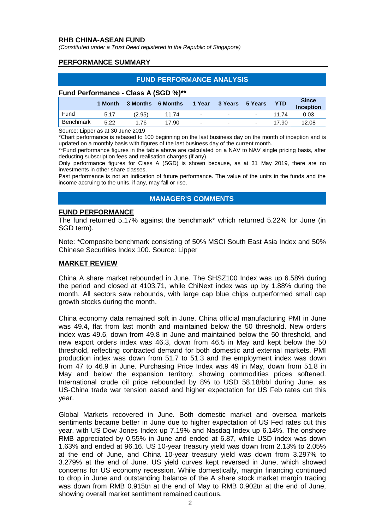*(Constituted under a Trust Deed registered in the Republic of Singapore)*

#### **PERFORMANCE SUMMARY**

## **FUND PERFORMANCE ANALYSIS**

#### **Fund Performance - Class A (SGD %)\*\***

|           | 1 Month | 3 Months 6 Months |       | 1 Year | 3 Years 5 Years          |                          | <b>YTD</b> | <b>Since</b><br><b>Inception</b> |
|-----------|---------|-------------------|-------|--------|--------------------------|--------------------------|------------|----------------------------------|
| Fund      | 5.17    | (2.95)            | 11.74 | $\sim$ | $\overline{\phantom{0}}$ | $\sim$                   | 11 74      | 0.03                             |
| Benchmark | 5.22    | 1.76              | 17.90 | $\sim$ | $\overline{\phantom{a}}$ | $\overline{\phantom{0}}$ | 17.90      | 12.08                            |

Source: Lipper as at 30 June 2019

\*Chart performance is rebased to 100 beginning on the last business day on the month of inception and is updated on a monthly basis with figures of the last business day of the current month.

\*\*Fund performance figures in the table above are calculated on a NAV to NAV single pricing basis, after deducting subscription fees and realisation charges (if any).

Only performance figures for Class A (SGD) is shown because, as at 31 May 2019, there are no investments in other share classes.

Past performance is not an indication of future performance. The value of the units in the funds and the income accruing to the units, if any, may fall or rise.

#### **MANAGER'S COMMENTS**

#### **FUND PERFORMANCE**

The fund returned 5.17% against the benchmark\* which returned 5.22% for June (in SGD term).

Note: \*Composite benchmark consisting of 50% MSCI South East Asia Index and 50% Chinese Securities Index 100. Source: Lipper

#### **MARKET REVIEW**

China A share market rebounded in June. The SHSZ100 Index was up 6.58% during the period and closed at 4103.71, while ChiNext index was up by 1.88% during the month. All sectors saw rebounds, with large cap blue chips outperformed small cap growth stocks during the month.

China economy data remained soft in June. China official manufacturing PMI in June was 49.4, flat from last month and maintained below the 50 threshold. New orders index was 49.6, down from 49.8 in June and maintained below the 50 threshold, and new export orders index was 46.3, down from 46.5 in May and kept below the 50 threshold, reflecting contracted demand for both domestic and external markets. PMI production index was down from 51.7 to 51.3 and the employment index was down from 47 to 46.9 in June. Purchasing Price Index was 49 in May, down from 51.8 in May and below the expansion territory, showing commodities prices softened. International crude oil price rebounded by 8% to USD 58.18/bbl during June, as US-China trade war tension eased and higher expectation for US Feb rates cut this year.

Global Markets recovered in June. Both domestic market and oversea markets sentiments became better in June due to higher expectation of US Fed rates cut this year, with US Dow Jones Index up 7.19% and Nasdaq Index up 6.14%. The onshore RMB appreciated by 0.55% in June and ended at 6.87, while USD index was down 1.63% and ended at 96.16. US 10-year treasury yield was down from 2.13% to 2.05% at the end of June, and China 10-year treasury yield was down from 3.297% to 3.279% at the end of June. US yield curves kept reversed in June, which showed concerns for US economy recession. While domestically, margin financing continued to drop in June and outstanding balance of the A share stock market margin trading was down from RMB 0.915tn at the end of May to RMB 0.902tn at the end of June, showing overall market sentiment remained cautious.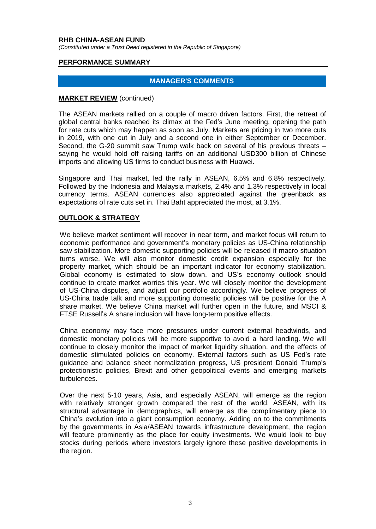*(Constituted under a Trust Deed registered in the Republic of Singapore)*

#### **PERFORMANCE SUMMARY**

#### **MANAGER'S COMMENTS**

#### **MARKET REVIEW** (continued)

The ASEAN markets rallied on a couple of macro driven factors. First, the retreat of global central banks reached its climax at the Fed's June meeting, opening the path for rate cuts which may happen as soon as July. Markets are pricing in two more cuts in 2019, with one cut in July and a second one in either September or December. Second, the G-20 summit saw Trump walk back on several of his previous threats – saying he would hold off raising tariffs on an additional USD300 billion of Chinese imports and allowing US firms to conduct business with Huawei.

Singapore and Thai market, led the rally in ASEAN, 6.5% and 6.8% respectively. Followed by the Indonesia and Malaysia markets, 2.4% and 1.3% respectively in local currency terms. ASEAN currencies also appreciated against the greenback as expectations of rate cuts set in. Thai Baht appreciated the most, at 3.1%.

#### **OUTLOOK & STRATEGY**

We believe market sentiment will recover in near term, and market focus will return to economic performance and government's monetary policies as US-China relationship saw stabilization. More domestic supporting policies will be released if macro situation turns worse. We will also monitor domestic credit expansion especially for the property market, which should be an important indicator for economy stabilization. Global economy is estimated to slow down, and US's economy outlook should continue to create market worries this year. We will closely monitor the development of US-China disputes, and adjust our portfolio accordingly. We believe progress of US-China trade talk and more supporting domestic policies will be positive for the A share market. We believe China market will further open in the future, and MSCI & FTSE Russell's A share inclusion will have long-term positive effects.

China economy may face more pressures under current external headwinds, and domestic monetary policies will be more supportive to avoid a hard landing. We will continue to closely monitor the impact of market liquidity situation, and the effects of domestic stimulated policies on economy. External factors such as US Fed's rate guidance and balance sheet normalization progress, US president Donald Trump's protectionistic policies, Brexit and other geopolitical events and emerging markets turbulences.

Over the next 5-10 years, Asia, and especially ASEAN, will emerge as the region with relatively stronger growth compared the rest of the world. ASEAN, with its structural advantage in demographics, will emerge as the complimentary piece to China's evolution into a giant consumption economy. Adding on to the commitments by the governments in Asia/ASEAN towards infrastructure development, the region will feature prominently as the place for equity investments. We would look to buy stocks during periods where investors largely ignore these positive developments in the region.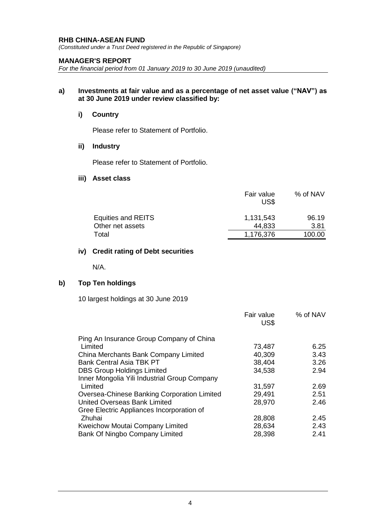*(Constituted under a Trust Deed registered in the Republic of Singapore)*

#### **MANAGER'S REPORT**

*For the financial period from 01 January 2019 to 30 June 2019 (unaudited)*

#### **a) Investments at fair value and as a percentage of net asset value ("NAV") as at 30 June 2019 under review classified by:**

#### **i) Country**

Please refer to Statement of Portfolio.

#### **ii) Industry**

Please refer to Statement of Portfolio.

## **iii) Asset class**

|                    | Fair value<br>US\$ | % of NAV |
|--------------------|--------------------|----------|
| Equities and REITS | 1,131,543          | 96.19    |
| Other net assets   | 44,833             | 3.81     |
| Total              | 1,176,376          | 100.00   |

## **iv) Credit rating of Debt securities**

N/A.

## **b) Top Ten holdings**

10 largest holdings at 30 June 2019

|                                              | Fair value<br>US\$ | % of NAV |
|----------------------------------------------|--------------------|----------|
| Ping An Insurance Group Company of China     |                    |          |
| Limited                                      | 73,487             | 6.25     |
| China Merchants Bank Company Limited         | 40,309             | 3.43     |
| <b>Bank Central Asia TBK PT</b>              | 38,404             | 3.26     |
| <b>DBS Group Holdings Limited</b>            | 34,538             | 2.94     |
| Inner Mongolia Yili Industrial Group Company |                    |          |
| Limited                                      | 31,597             | 2.69     |
| Oversea-Chinese Banking Corporation Limited  | 29,491             | 2.51     |
| United Overseas Bank Limited                 | 28,970             | 2.46     |
| Gree Electric Appliances Incorporation of    |                    |          |
| Zhuhai                                       | 28,808             | 2.45     |
| Kweichow Moutai Company Limited              | 28,634             | 2.43     |
| Bank Of Ningbo Company Limited               | 28,398             | 2.41     |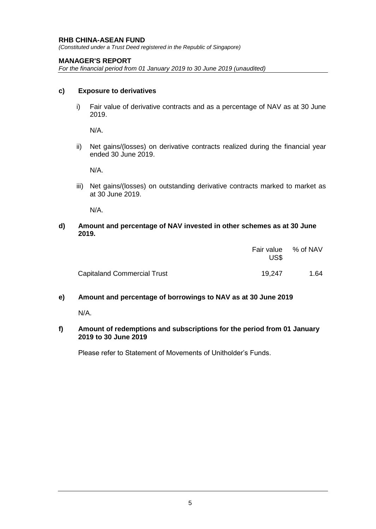*(Constituted under a Trust Deed registered in the Republic of Singapore)*

## **MANAGER'S REPORT**

*For the financial period from 01 January 2019 to 30 June 2019 (unaudited)*

#### **c) Exposure to derivatives**

i) Fair value of derivative contracts and as a percentage of NAV as at 30 June 2019.

N/A.

ii) Net gains/(losses) on derivative contracts realized during the financial year ended 30 June 2019.

N/A.

iii) Net gains/(losses) on outstanding derivative contracts marked to market as at 30 June 2019.

N/A.

#### **d) Amount and percentage of NAV invested in other schemes as at 30 June 2019.**

|                                    | Fair value % of NAV<br>US\$ |      |
|------------------------------------|-----------------------------|------|
| <b>Capitaland Commercial Trust</b> | 19.247                      | 1.64 |

# **e) Amount and percentage of borrowings to NAV as at 30 June 2019**

N/A.

#### **f) Amount of redemptions and subscriptions for the period from 01 January 2019 to 30 June 2019**

Please refer to Statement of Movements of Unitholder's Funds.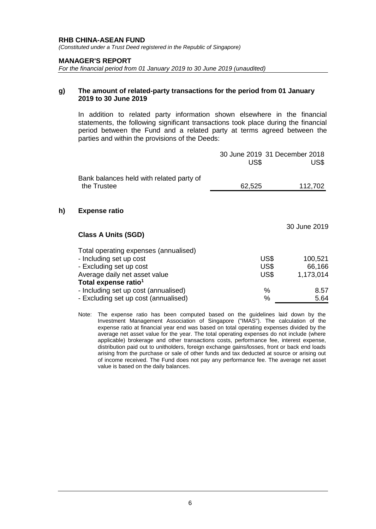*(Constituted under a Trust Deed registered in the Republic of Singapore)*

#### **MANAGER'S REPORT**

*For the financial period from 01 January 2019 to 30 June 2019 (unaudited)*

#### **g) The amount of related-party transactions for the period from 01 January 2019 to 30 June 2019**

In addition to related party information shown elsewhere in the financial statements, the following significant transactions took place during the financial period between the Fund and a related party at terms agreed between the parties and within the provisions of the Deeds:

|    |                                                                                                                                                                  | 30 June 2019 31 December 2018<br>US\$ | US\$                           |
|----|------------------------------------------------------------------------------------------------------------------------------------------------------------------|---------------------------------------|--------------------------------|
|    | Bank balances held with related party of<br>the Trustee                                                                                                          | 62,525                                | 112,702                        |
| h) | <b>Expense ratio</b>                                                                                                                                             |                                       |                                |
|    | <b>Class A Units (SGD)</b>                                                                                                                                       |                                       | 30 June 2019                   |
|    | Total operating expenses (annualised)<br>- Including set up cost<br>- Excluding set up cost<br>Average daily net asset value<br>Total expense ratio <sup>1</sup> | US\$<br>US\$<br>US\$                  | 100,521<br>66,166<br>1,173,014 |
|    | - Including set up cost (annualised)<br>- Excluding set up cost (annualised)                                                                                     | %<br>%                                | 8.57<br>5.64                   |

Note: The expense ratio has been computed based on the guidelines laid down by the Investment Management Association of Singapore ("IMAS"). The calculation of the expense ratio at financial year end was based on total operating expenses divided by the average net asset value for the year. The total operating expenses do not include (where applicable) brokerage and other transactions costs, performance fee, interest expense, distribution paid out to unitholders, foreign exchange gains/losses, front or back end loads arising from the purchase or sale of other funds and tax deducted at source or arising out of income received. The Fund does not pay any performance fee. The average net asset value is based on the daily balances.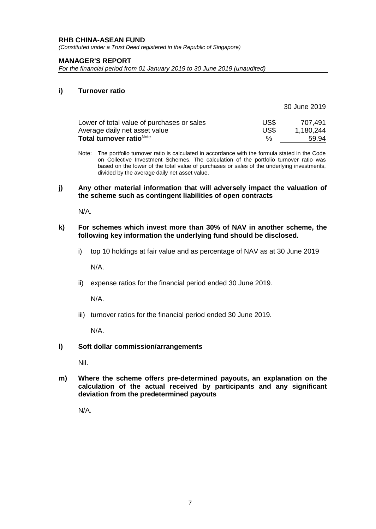*(Constituted under a Trust Deed registered in the Republic of Singapore)*

#### **MANAGER'S REPORT**

*For the financial period from 01 January 2019 to 30 June 2019 (unaudited)*

#### **i) Turnover ratio**

|                                            |               | 30 June 2019 |
|--------------------------------------------|---------------|--------------|
| Lower of total value of purchases or sales | US\$          | 707.491      |
| Average daily net asset value              | US\$          | 1,180,244    |
| Total turnover ratio <sup>Note</sup>       | $\frac{0}{6}$ | 59.94        |

Note: The portfolio turnover ratio is calculated in accordance with the formula stated in the Code on Collective Investment Schemes. The calculation of the portfolio turnover ratio was based on the lower of the total value of purchases or sales of the underlying investments, divided by the average daily net asset value.

#### **j) Any other material information that will adversely impact the valuation of the scheme such as contingent liabilities of open contracts**

N/A.

#### **k) For schemes which invest more than 30% of NAV in another scheme, the following key information the underlying fund should be disclosed.**

i) top 10 holdings at fair value and as percentage of NAV as at 30 June 2019

N/A.

ii) expense ratios for the financial period ended 30 June 2019.

N/A.

iii) turnover ratios for the financial period ended 30 June 2019.

N/A.

#### **l) Soft dollar commission/arrangements**

Nil.

**m) Where the scheme offers pre-determined payouts, an explanation on the calculation of the actual received by participants and any significant deviation from the predetermined payouts**

N/A.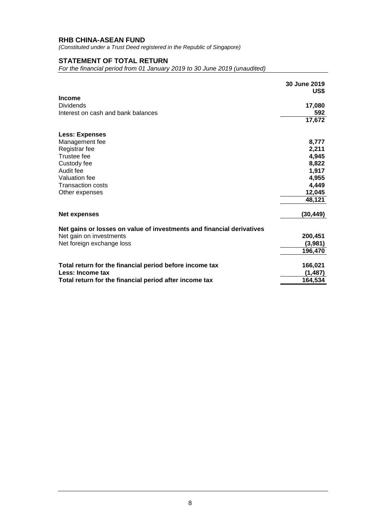*(Constituted under a Trust Deed registered in the Republic of Singapore)*

# **STATEMENT OF TOTAL RETURN**

*For the financial period from 01 January 2019 to 30 June 2019 (unaudited)*

|                                                                       | 30 June 2019<br>US\$ |
|-----------------------------------------------------------------------|----------------------|
| <b>Income</b>                                                         |                      |
| <b>Dividends</b>                                                      | 17,080               |
| Interest on cash and bank balances                                    | 592                  |
|                                                                       | 17,672               |
| <b>Less: Expenses</b>                                                 |                      |
| Management fee                                                        | 8,777                |
| Registrar fee                                                         | 2,211                |
| Trustee fee                                                           | 4,945                |
| Custody fee                                                           | 8,822                |
| Audit fee                                                             | 1,917                |
| Valuation fee                                                         | 4,955                |
| <b>Transaction costs</b>                                              | 4,449                |
| Other expenses                                                        | 12,045               |
|                                                                       | 48,121               |
| Net expenses                                                          | (30, 449)            |
| Net gains or losses on value of investments and financial derivatives |                      |
| Net gain on investments                                               | 200,451              |
| Net foreign exchange loss                                             | (3,981)              |
|                                                                       | 196,470              |
| Total return for the financial period before income tax               | 166,021              |
| Less: Income tax                                                      | (1,487)              |
| Total return for the financial period after income tax                | 164,534              |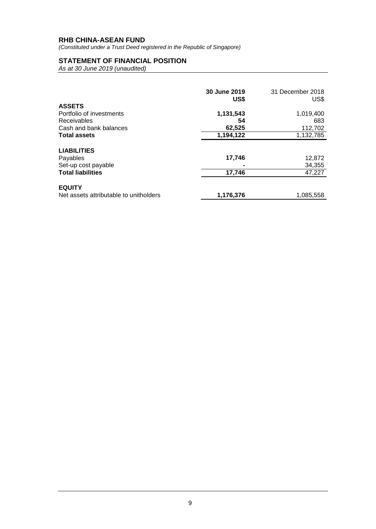*(Constituted under a Trust Deed registered in the Republic of Singapore)*

# **STATEMENT OF FINANCIAL POSITION**

|                                        | 30 June 2019<br>US\$ | 31 December 2018<br>US\$ |
|----------------------------------------|----------------------|--------------------------|
| <b>ASSETS</b>                          |                      |                          |
| Portfolio of investments               | 1,131,543            | 1,019,400                |
| <b>Receivables</b>                     | 54                   | 683                      |
| Cash and bank balances                 | 62,525               | 112,702                  |
| <b>Total assets</b>                    | 1,194,122            | 1,132,785                |
| <b>LIABILITIES</b>                     |                      |                          |
| Payables                               | 17,746               | 12,872                   |
| Set-up cost payable                    |                      | 34,355                   |
| <b>Total liabilities</b>               | 17,746               | 47,227                   |
| <b>EQUITY</b>                          |                      |                          |
| Net assets attributable to unitholders | 1,176,376            | 1,085,558                |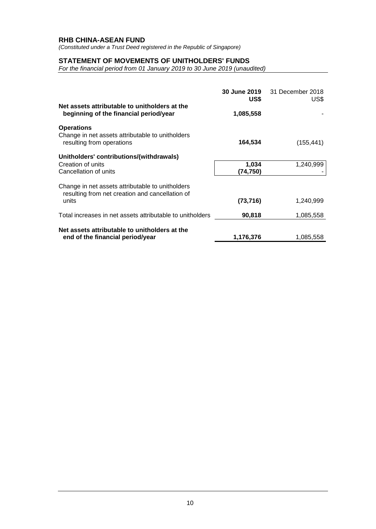*(Constituted under a Trust Deed registered in the Republic of Singapore)*

## **STATEMENT OF MOVEMENTS OF UNITHOLDERS' FUNDS**

*For the financial period from 01 January 2019 to 30 June 2019 (unaudited)*

|                                                                                                              | 30 June 2019<br>US\$ | 31 December 2018<br>US\$ |
|--------------------------------------------------------------------------------------------------------------|----------------------|--------------------------|
| Net assets attributable to unitholders at the<br>beginning of the financial period/year                      | 1,085,558            |                          |
| <b>Operations</b><br>Change in net assets attributable to unitholders<br>resulting from operations           | 164,534              | (155, 441)               |
| Unitholders' contributions/(withdrawals)<br>Creation of units<br>Cancellation of units                       | 1,034<br>(74,750)    | 1,240,999                |
| Change in net assets attributable to unitholders<br>resulting from net creation and cancellation of<br>units | (73, 716)            | 1,240,999                |
| Total increases in net assets attributable to unitholders                                                    | 90,818               | 1,085,558                |
| Net assets attributable to unitholders at the<br>end of the financial period/year                            | 1,176,376            | 1,085,558                |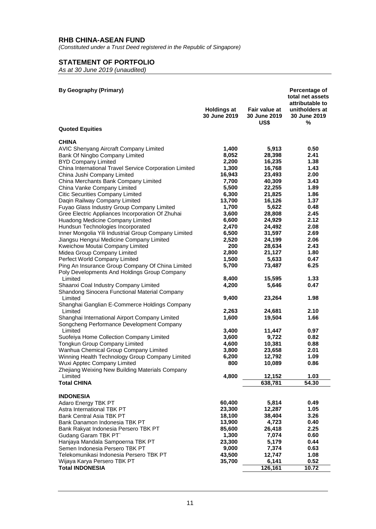*(Constituted under a Trust Deed registered in the Republic of Singapore)*

# **STATEMENT OF PORTFOLIO**

| <b>By Geography (Primary)</b>                                                               |                                    |                                       | Percentage of<br>total net assets                      |
|---------------------------------------------------------------------------------------------|------------------------------------|---------------------------------------|--------------------------------------------------------|
|                                                                                             | <b>Holdings at</b><br>30 June 2019 | Fair value at<br>30 June 2019<br>US\$ | attributable to<br>unitholders at<br>30 June 2019<br>% |
| <b>Quoted Equities</b>                                                                      |                                    |                                       |                                                        |
| <b>CHINA</b>                                                                                |                                    |                                       |                                                        |
| AVIC Shenyang Aircraft Company Limited                                                      | 1,400                              | 5,913                                 | 0.50                                                   |
| Bank Of Ningbo Company Limited                                                              | 8,052                              | 28,398                                | 2.41                                                   |
| <b>BYD Company Limited</b>                                                                  | 2,200                              | 16,235                                | 1.38                                                   |
| China International Travel Service Corporation Limited                                      | 1,300                              | 16,768                                | 1.43                                                   |
| China Jushi Company Limited                                                                 | 16,943                             | 23,493                                | 2.00                                                   |
| China Merchants Bank Company Limited                                                        | 7,700                              | 40,309                                | 3.43                                                   |
| China Vanke Company Limited                                                                 | 5,500                              | 22,255                                | 1.89                                                   |
| Citic Securities Company Limited                                                            | 6,300                              | 21,825                                | 1.86                                                   |
| Daqin Railway Company Limited                                                               | 13,700                             | 16,126                                | 1.37                                                   |
| Fuyao Glass Industry Group Company Limited                                                  | 1,700                              | 5,622                                 | 0.48                                                   |
| Gree Electric Appliances Incorporation Of Zhuhai                                            | 3,600                              | 28,808                                | 2.45                                                   |
| Huadong Medicine Company Limited                                                            | 6,600                              | 24,929                                | 2.12                                                   |
| Hundsun Technologies Incorporated                                                           | 2,470                              | 24,492                                | 2.08                                                   |
| Inner Mongolia Yili Industrial Group Company Limited                                        | 6,500                              | 31,597                                | 2.69                                                   |
| Jiangsu Hengrui Medicine Company Limited                                                    | 2,520                              | 24,199                                | 2.06                                                   |
| Kweichow Moutai Company Limited                                                             | 200<br>2,800                       | 28,634                                | 2.43<br>1.80                                           |
| Midea Group Company Limited                                                                 | 1,500                              | 21,127<br>5,633                       | 0.47                                                   |
| Perfect World Company Limited<br>Ping An Insurance Group Company Of China Limited           |                                    |                                       | 6.25                                                   |
| Poly Developments And Holdings Group Company                                                | 5,700                              | 73,487                                |                                                        |
| Limited                                                                                     | 8,400                              | 15,595                                | 1.33                                                   |
| Shaanxi Coal Industry Company Limited<br>Shandong Sinocera Functional Material Company      | 4,200                              | 5,646                                 | 0.47                                                   |
| Limited<br>Shanghai Ganglian E-Commerce Holdings Company                                    | 9,400                              | 23,264                                | 1.98                                                   |
| Limited                                                                                     | 2,263                              | 24,681                                | 2.10                                                   |
| Shanghai International Airport Company Limited<br>Songcheng Performance Development Company | 1,600                              | 19,504                                | 1.66                                                   |
| Limited                                                                                     | 3,400                              | 11,447                                | 0.97                                                   |
| Suofeiya Home Collection Company Limited                                                    | 3,600                              | 9,722                                 | 0.82                                                   |
| Tongkun Group Company Limited                                                               | 4,600                              | 10,381                                | 0.88                                                   |
| Wanhua Chemical Group Company Limited                                                       | 3,800                              | 23,658                                | 2.01                                                   |
| Winning Health Technology Group Company Limited                                             | 6,200                              | 12,792                                | 1.09                                                   |
| Wuxi Apptec Company Limited<br>Zhejiang Weixing New Building Materials Company              | 800                                | 10,089                                | 0.86                                                   |
| Limited                                                                                     | 4,800                              | 12,152                                | 1.03                                                   |
| <b>Total CHINA</b>                                                                          |                                    | 638,781                               | 54.30                                                  |
| <b>INDONESIA</b>                                                                            |                                    |                                       |                                                        |
| Adaro Energy TBK PT                                                                         | 60,400                             | 5,814                                 | 0.49                                                   |
| Astra International TBK PT                                                                  | 23,300                             | 12,287                                | 1.05                                                   |
| Bank Central Asia TBK PT                                                                    | 18,100                             | 38,404                                | 3.26                                                   |
| Bank Danamon Indonesia TBK PT                                                               | 13,900                             | 4,723                                 | 0.40                                                   |
| Bank Rakyat Indonesia Persero TBK PT                                                        | 85,600                             | 26,418                                | 2.25                                                   |
| Gudang Garam TBK PT                                                                         | 1,300                              | 7,074                                 | 0.60                                                   |
| Hanjaya Mandala Sampoerna TBK PT                                                            | 23,300                             | 5,179                                 | 0.44                                                   |
| Semen Indonesia Persero TBK PT                                                              | 9,000                              | 7,374                                 | 0.63                                                   |
| Telekomunikasi Indonesia Persero TBK PT                                                     | 43,500                             | 12,747                                | 1.08                                                   |
| Wijaya Karya Persero TBK PT                                                                 | 35,700                             | 6,141                                 | 0.52                                                   |
| <b>Total INDONESIA</b>                                                                      |                                    | 126,161                               | 10.72                                                  |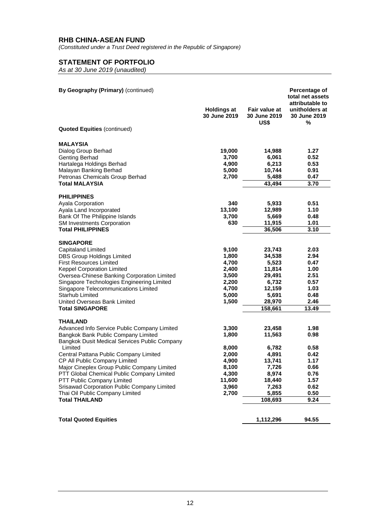*(Constituted under a Trust Deed registered in the Republic of Singapore)*

# **STATEMENT OF PORTFOLIO**

| By Geography (Primary) (continued)                       | <b>Holdings at</b><br>30 June 2019 | Fair value at<br>30 June 2019<br>US\$ | Percentage of<br>total net assets<br>attributable to<br>unitholders at<br>30 June 2019<br>℅ |
|----------------------------------------------------------|------------------------------------|---------------------------------------|---------------------------------------------------------------------------------------------|
| <b>Quoted Equities (continued)</b>                       |                                    |                                       |                                                                                             |
| MALAYSIA                                                 |                                    |                                       |                                                                                             |
| Dialog Group Berhad                                      | 19,000                             | 14,988                                | 1.27                                                                                        |
| Genting Berhad                                           | 3,700                              | 6,061                                 | 0.52                                                                                        |
| Hartalega Holdings Berhad                                | 4,900                              | 6,213                                 | 0.53                                                                                        |
| Malayan Banking Berhad                                   | 5,000                              | 10,744                                | 0.91                                                                                        |
| Petronas Chemicals Group Berhad<br><b>Total MALAYSIA</b> | 2,700                              | 5,488<br>43,494                       | 0.47<br>3.70                                                                                |
|                                                          |                                    |                                       |                                                                                             |
| <b>PHILIPPINES</b><br>Ayala Corporation                  | 340                                | 5,933                                 | 0.51                                                                                        |
| Ayala Land Incorporated                                  | 13,100                             | 12,989                                | 1.10                                                                                        |
| Bank Of The Philippine Islands                           | 3,700                              | 5,669                                 | 0.48                                                                                        |
| <b>SM Investments Corporation</b>                        | 630                                | 11,915                                | 1.01                                                                                        |
| <b>Total PHILIPPINES</b>                                 |                                    | 36,506                                | 3.10                                                                                        |
| <b>SINGAPORE</b>                                         |                                    |                                       |                                                                                             |
| <b>Capitaland Limited</b>                                | 9,100                              | 23,743                                | 2.03                                                                                        |
| <b>DBS Group Holdings Limited</b>                        | 1,800                              | 34,538                                | 2.94                                                                                        |
| <b>First Resources Limited</b>                           | 4,700                              | 5,523                                 | 0.47                                                                                        |
| <b>Keppel Corporation Limited</b>                        | 2,400                              | 11,814                                | 1.00                                                                                        |
| Oversea-Chinese Banking Corporation Limited              | 3,500                              | 29,491                                | 2.51                                                                                        |
| Singapore Technologies Engineering Limited               | 2,200                              | 6,732                                 | 0.57                                                                                        |
| Singapore Telecommunications Limited                     | 4,700                              | 12,159                                | 1.03                                                                                        |
| <b>Starhub Limited</b>                                   | 5,000                              | 5,691                                 | 0.48                                                                                        |
| United Overseas Bank Limited                             | 1,500                              | 28,970                                | 2.46                                                                                        |
| <b>Total SINGAPORE</b>                                   |                                    | 158,661                               | 13.49                                                                                       |
| THAILAND<br>Advanced Info Service Public Company Limited | 3,300                              | 23,458                                | 1.98                                                                                        |
| Bangkok Bank Public Company Limited                      | 1,800                              | 11,563                                | 0.98                                                                                        |
| Bangkok Dusit Medical Services Public Company            |                                    |                                       |                                                                                             |
| Limited                                                  | 8,000                              | 6,782                                 | 0.58                                                                                        |
| Central Pattana Public Company Limited                   | 2,000                              | 4,891                                 | 0.42                                                                                        |
| CP All Public Company Limited                            | 4,900                              | 13,741                                | 1.17                                                                                        |
| Major Cineplex Group Public Company Limited              | 8,100                              | 7,726                                 | 0.66                                                                                        |
| PTT Global Chemical Public Company Limited               | 4,300                              | 8,974                                 | 0.76                                                                                        |
| PTT Public Company Limited                               | 11,600                             | 18,440                                | 1.57                                                                                        |
| Srisawad Corporation Public Company Limited              | 3,960                              | 7,263                                 | 0.62                                                                                        |
| Thai Oil Public Company Limited                          | 2,700                              | 5,855                                 | 0.50                                                                                        |
| <b>Total THAILAND</b>                                    |                                    | 108,693                               | 9.24                                                                                        |
|                                                          |                                    |                                       |                                                                                             |
| <b>Total Quoted Equities</b>                             |                                    | 1,112,296                             | 94.55                                                                                       |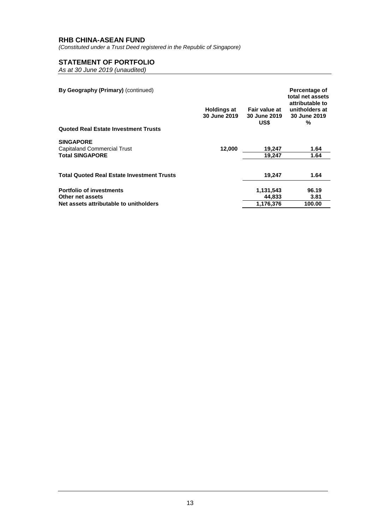*(Constituted under a Trust Deed registered in the Republic of Singapore)*

# **STATEMENT OF PORTFOLIO**

| By Geography (Primary) (continued)<br><b>Quoted Real Estate Investment Trusts</b>             | <b>Holdings at</b><br>30 June 2019 | Fair value at<br>30 June 2019<br>US\$ | Percentage of<br>total net assets<br>attributable to<br>unitholders at<br>30 June 2019<br>% |
|-----------------------------------------------------------------------------------------------|------------------------------------|---------------------------------------|---------------------------------------------------------------------------------------------|
| <b>SINGAPORE</b><br><b>Capitaland Commercial Trust</b><br><b>Total SINGAPORE</b>              | 12,000                             | 19,247<br>19.247                      | 1.64<br>1.64                                                                                |
| <b>Total Quoted Real Estate Investment Trusts</b>                                             |                                    | 19.247                                | 1.64                                                                                        |
| <b>Portfolio of investments</b><br>Other net assets<br>Net assets attributable to unitholders |                                    | 1,131,543<br>44,833<br>1.176.376      | 96.19<br>3.81<br>100.00                                                                     |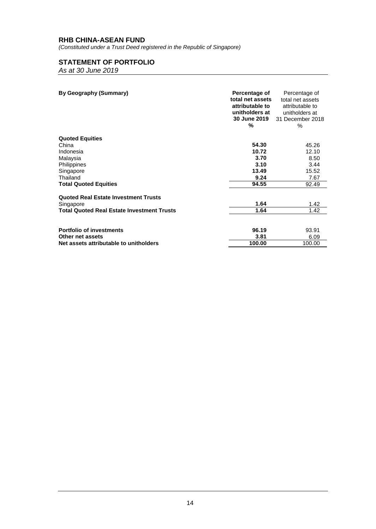*(Constituted under a Trust Deed registered in the Republic of Singapore)*

# **STATEMENT OF PORTFOLIO**

*As at 30 June 2019*

| By Geography (Summary)                            | Percentage of<br>total net assets<br>attributable to<br>unitholders at<br>30 June 2019<br>% | Percentage of<br>total net assets<br>attributable to<br>unitholders at<br>31 December 2018<br>$\%$ |
|---------------------------------------------------|---------------------------------------------------------------------------------------------|----------------------------------------------------------------------------------------------------|
| <b>Quoted Equities</b>                            |                                                                                             |                                                                                                    |
| China                                             | 54.30                                                                                       | 45.26                                                                                              |
| Indonesia                                         | 10.72                                                                                       | 12.10                                                                                              |
| Malaysia                                          | 3.70                                                                                        | 8.50                                                                                               |
| Philippines                                       | 3.10                                                                                        | 3.44                                                                                               |
| Singapore                                         | 13.49                                                                                       | 15.52                                                                                              |
| Thailand                                          | 9.24                                                                                        | 7.67                                                                                               |
| <b>Total Quoted Equities</b>                      | 94.55                                                                                       | 92.49                                                                                              |
| <b>Quoted Real Estate Investment Trusts</b>       |                                                                                             |                                                                                                    |
| Singapore                                         | 1.64                                                                                        | 1.42                                                                                               |
| <b>Total Quoted Real Estate Investment Trusts</b> | 1.64                                                                                        | 1.42                                                                                               |
|                                                   |                                                                                             |                                                                                                    |
| <b>Portfolio of investments</b>                   | 96.19                                                                                       | 93.91                                                                                              |
| Other net assets                                  | 3.81                                                                                        | 6.09                                                                                               |
| Net assets attributable to unitholders            | 100.00                                                                                      | 100.00                                                                                             |